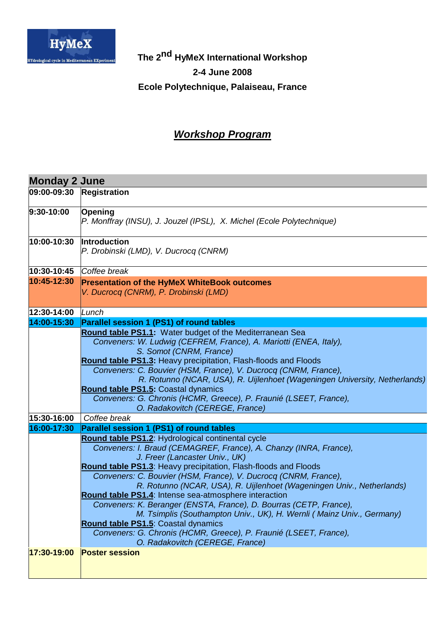

**The 2nd HyMeX International Workshop 2-4 June 2008 Ecole Polytechnique, Palaiseau, France**

## **Workshop Program**

| <b>Monday 2 June</b> |                                                                                                                                                                                                                                                                                                                                                                                                                                                                                                                                                                                                                                                                                                                                |  |
|----------------------|--------------------------------------------------------------------------------------------------------------------------------------------------------------------------------------------------------------------------------------------------------------------------------------------------------------------------------------------------------------------------------------------------------------------------------------------------------------------------------------------------------------------------------------------------------------------------------------------------------------------------------------------------------------------------------------------------------------------------------|--|
| 09:00-09:30          | Registration                                                                                                                                                                                                                                                                                                                                                                                                                                                                                                                                                                                                                                                                                                                   |  |
| $9:30-10:00$         | Opening<br>P. Monffray (INSU), J. Jouzel (IPSL), X. Michel (Ecole Polytechnique)                                                                                                                                                                                                                                                                                                                                                                                                                                                                                                                                                                                                                                               |  |
| 10:00-10:30          | <b>Introduction</b><br>P. Drobinski (LMD), V. Ducrocq (CNRM)                                                                                                                                                                                                                                                                                                                                                                                                                                                                                                                                                                                                                                                                   |  |
| 10:30-10:45          | Coffee break                                                                                                                                                                                                                                                                                                                                                                                                                                                                                                                                                                                                                                                                                                                   |  |
| 10:45-12:30          | <b>Presentation of the HyMeX WhiteBook outcomes</b><br>V. Ducrocq (CNRM), P. Drobinski (LMD)                                                                                                                                                                                                                                                                                                                                                                                                                                                                                                                                                                                                                                   |  |
| 12:30-14:00          | Lunch                                                                                                                                                                                                                                                                                                                                                                                                                                                                                                                                                                                                                                                                                                                          |  |
| 14:00-15:30          | <b>Parallel session 1 (PS1) of round tables</b>                                                                                                                                                                                                                                                                                                                                                                                                                                                                                                                                                                                                                                                                                |  |
|                      | Round table PS1.1: Water budget of the Mediterranean Sea<br>Conveners: W. Ludwig (CEFREM, France), A. Mariotti (ENEA, Italy),<br>S. Somot (CNRM, France)<br>Round table PS1.3: Heavy precipitation, Flash-floods and Floods<br>Conveners: C. Bouvier (HSM, France), V. Ducrocq (CNRM, France),<br>R. Rotunno (NCAR, USA), R. Uijlenhoet (Wageningen University, Netherlands)<br>Round table PS1.5: Coastal dynamics<br>Conveners: G. Chronis (HCMR, Greece), P. Fraunié (LSEET, France),<br>O. Radakovitch (CEREGE, France)                                                                                                                                                                                                    |  |
| 15:30-16:00          | Coffee break                                                                                                                                                                                                                                                                                                                                                                                                                                                                                                                                                                                                                                                                                                                   |  |
| 16:00-17:30          | Parallel session 1 (PS1) of round tables                                                                                                                                                                                                                                                                                                                                                                                                                                                                                                                                                                                                                                                                                       |  |
|                      | Round table PS1.2: Hydrological continental cycle<br>Conveners: I. Braud (CEMAGREF, France), A. Chanzy (INRA, France),<br>J. Freer (Lancaster Univ., UK)<br>Round table PS1.3: Heavy precipitation, Flash-floods and Floods<br>Conveners: C. Bouvier (HSM, France), V. Ducrocq (CNRM, France),<br>R. Rotunno (NCAR, USA), R. Uijlenhoet (Wageningen Univ., Netherlands)<br>Round table PS1.4: Intense sea-atmosphere interaction<br>Conveners: K. Beranger (ENSTA, France), D. Bourras (CETP, France),<br>M. Tsimplis (Southampton Univ., UK), H. Wernli (Mainz Univ., Germany)<br>Round table PS1.5: Coastal dynamics<br>Conveners: G. Chronis (HCMR, Greece), P. Fraunié (LSEET, France),<br>O. Radakovitch (CEREGE, France) |  |
| 17:30-19:00          | <b>Poster session</b>                                                                                                                                                                                                                                                                                                                                                                                                                                                                                                                                                                                                                                                                                                          |  |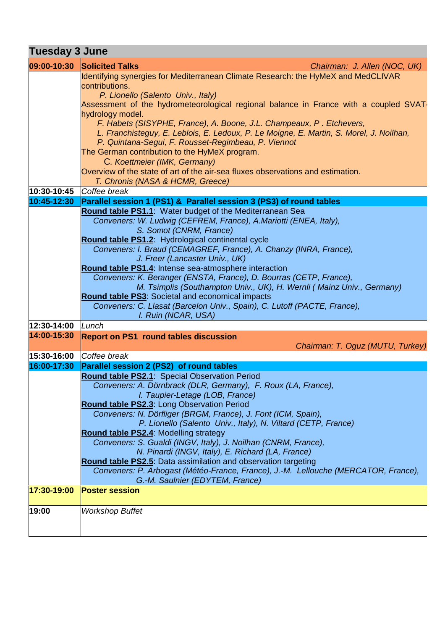## **Tuesday 3 June**

| 09:00-10:30 | <b>Solicited Talks</b><br>Chairman: J. Allen (NOC, UK)                                                                                      |
|-------------|---------------------------------------------------------------------------------------------------------------------------------------------|
|             | Identifying synergies for Mediterranean Climate Research: the HyMeX and MedCLIVAR                                                           |
|             | contributions.<br>P. Lionello (Salento Univ., Italy)                                                                                        |
|             | Assessment of the hydrometeorological regional balance in France with a coupled SVAT-                                                       |
|             | hydrology model.                                                                                                                            |
|             | F. Habets (SISYPHE, France), A. Boone, J.L. Champeaux, P. Etchevers,                                                                        |
|             | L. Franchisteguy, E. Leblois, E. Ledoux, P. Le Moigne, E. Martin, S. Morel, J. Noilhan,                                                     |
|             | P. Quintana-Segui, F. Rousset-Regimbeau, P. Viennot<br>The German contribution to the HyMeX program.                                        |
|             | C. Koettmeier (IMK, Germany)                                                                                                                |
|             | Overview of the state of art of the air-sea fluxes observations and estimation.                                                             |
|             | T. Chronis (NASA & HCMR, Greece)                                                                                                            |
| 10:30-10:45 | Coffee break                                                                                                                                |
| 10:45-12:30 | Parallel session 1 (PS1) & Parallel session 3 (PS3) of round tables                                                                         |
|             | Round table PS1.1: Water budget of the Mediterranean Sea                                                                                    |
|             | Conveners: W. Ludwig (CEFREM, France), A.Mariotti (ENEA, Italy),<br>S. Somot (CNRM, France)                                                 |
|             | Round table PS1.2: Hydrological continental cycle                                                                                           |
|             | Conveners: I. Braud (CEMAGREF, France), A. Chanzy (INRA, France),                                                                           |
|             | J. Freer (Lancaster Univ., UK)                                                                                                              |
|             | Round table PS1.4: Intense sea-atmosphere interaction                                                                                       |
|             | Conveners: K. Beranger (ENSTA, France), D. Bourras (CETP, France),<br>M. Tsimplis (Southampton Univ., UK), H. Wernli (Mainz Univ., Germany) |
|             | Round table PS3: Societal and economical impacts                                                                                            |
|             | Conveners: C. Llasat (Barcelon Univ., Spain), C. Lutoff (PACTE, France),                                                                    |
|             | I. Ruin (NCAR, USA)                                                                                                                         |
| 12:30-14:00 | Lunch                                                                                                                                       |
| 14:00-15:30 | <b>Report on PS1 round tables discussion</b>                                                                                                |
| 15:30-16:00 | Chairman: T. Oguz (MUTU, Turkey)<br>Coffee break                                                                                            |
| 16:00-17:30 | Parallel session 2 (PS2) of round tables                                                                                                    |
|             | Round table PS2.1: Special Observation Period                                                                                               |
|             | Conveners: A. Dörnbrack (DLR, Germany), F. Roux (LA, France),                                                                               |
|             | I. Taupier-Letage (LOB, France)                                                                                                             |
|             | Round table PS2.3: Long Observation Period                                                                                                  |
|             | Conveners: N. Dörfliger (BRGM, France), J. Font (ICM, Spain),<br>P. Lionello (Salento Univ., Italy), N. Viltard (CETP, France)              |
|             | Round table PS2.4: Modelling strategy                                                                                                       |
|             | Conveners: S. Gualdi (INGV, Italy), J. Noilhan (CNRM, France),                                                                              |
|             | N. Pinardi (INGV, Italy), E. Richard (LA, France)                                                                                           |
|             | Round table PS2.5: Data assimilation and observation targeting                                                                              |
|             | Conveners: P. Arbogast (Météo-France, France), J.-M. Lellouche (MERCATOR, France),<br>G.-M. Saulnier (EDYTEM, France)                       |
| 17:30-19:00 | <b>Poster session</b>                                                                                                                       |
|             |                                                                                                                                             |
| 19:00       | <b>Workshop Buffet</b>                                                                                                                      |
|             |                                                                                                                                             |
|             |                                                                                                                                             |